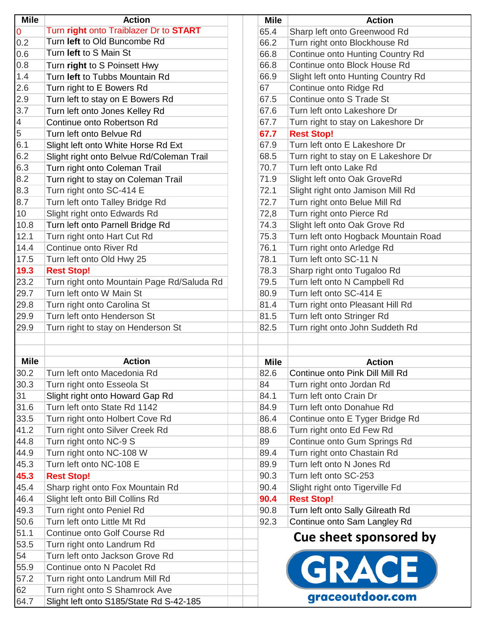| <b>Mile</b>    | <b>Action</b>                              | <b>Mile</b> | <b>Action</b>                        |
|----------------|--------------------------------------------|-------------|--------------------------------------|
| <b>O</b>       | Turn right onto Traiblazer Dr to START     | 65.4        | Sharp left onto Greenwood Rd         |
| 0.2            | Turn left to Old Buncombe Rd               | 66.2        | Turn right onto Blockhouse Rd        |
| 0.6            | Turn left to S Main St                     | 66.8        | Continue onto Hunting Country Rd     |
| 0.8            | Turn right to S Poinsett Hwy               | 66.8        | Continue onto Block House Rd         |
| 1.4            | Turn left to Tubbs Mountain Rd             | 66.9        | Slight left onto Hunting Country Rd  |
| 2.6            | Turn right to E Bowers Rd                  | 67          | Continue onto Ridge Rd               |
| 2.9            | Turn left to stay on E Bowers Rd           | 67.5        | Continue onto S Trade St             |
| 3.7            | Turn left onto Jones Kelley Rd             | 67.6        | Turn left onto Lakeshore Dr          |
| $\overline{4}$ | Continue onto Robertson Rd                 | 67.7        | Turn right to stay on Lakeshore Dr   |
| $\overline{5}$ | Turn left onto Belvue Rd                   | 67.7        | <b>Rest Stop!</b>                    |
| 6.1            | Slight left onto White Horse Rd Ext        | 67.9        | Turn left onto E Lakeshore Dr        |
| 6.2            | Slight right onto Belvue Rd/Coleman Trail  | 68.5        | Turn right to stay on E Lakeshore Dr |
| 6.3            | Turn right onto Coleman Trail              | 70.7        | Turn left onto Lake Rd               |
| 8.2            | Turn right to stay on Coleman Trail        | 71.9        | Slight left onto Oak GroveRd         |
| 8.3            | Turn right onto SC-414 E                   | 72.1        | Slight right onto Jamison Mill Rd    |
| 8.7            | Turn left onto Talley Bridge Rd            | 72.7        | Turn right onto Belue Mill Rd        |
| 10             | Slight right onto Edwards Rd               | 72,8        | Turn right onto Pierce Rd            |
| 10.8           | Turn left onto Parnell Bridge Rd           | 74.3        | Slight left onto Oak Grove Rd        |
| 12.1           | Turn right onto Hart Cut Rd                | 75.3        | Turn left onto Hogback Mountain Road |
| 14.4           | Continue onto River Rd                     | 76.1        | Turn right onto Arledge Rd           |
| 17.5           | Turn left onto Old Hwy 25                  | 78.1        | Turn left onto SC-11 N               |
| 19.3           | <b>Rest Stop!</b>                          | 78.3        | Sharp right onto Tugaloo Rd          |
| 23.2           | Turn right onto Mountain Page Rd/Saluda Rd | 79.5        | Turn left onto N Campbell Rd         |
| 29.7           | Turn left onto W Main St                   | 80.9        | Turn left onto SC-414 E              |
| 29.8           | Turn right onto Carolina St                | 81.4        | Turn right onto Pleasant Hill Rd     |
| 29.9           | Turn left onto Henderson St                | 81.5        | Turn left onto Stringer Rd           |
| 29.9           | Turn right to stay on Henderson St         | 82.5        | Turn right onto John Suddeth Rd      |
|                |                                            |             |                                      |
|                |                                            |             |                                      |
| <b>Mile</b>    | <b>Action</b>                              | <b>Mile</b> | <b>Action</b>                        |
| 30.2           | Turn left onto Macedonia Rd                | 82.6        | Continue onto Pink Dill Mill Rd      |
| 30.3           | Turn right onto Esseola St                 | 84          | Turn right onto Jordan Rd            |
| 31             | Slight right onto Howard Gap Rd            | 84.1        | Turn left onto Crain Dr              |
| 31.6           | Turn left onto State Rd 1142               | 84.9        | Turn left onto Donahue Rd            |
| 33.5           | Turn right onto Holbert Cove Rd            | 86.4        | Continue onto E Tyger Bridge Rd      |
| 41.2           | Turn right onto Silver Creek Rd            | 88.6        | Turn right onto Ed Few Rd            |
| 44.8           | Turn right onto NC-9 S                     | 89          | Continue onto Gum Springs Rd         |
| 44.9           | Turn right onto NC-108 W                   | 89.4        | Turn right onto Chastain Rd          |
| 45.3           | Turn left onto NC-108 E                    | 89.9        | Turn left onto N Jones Rd            |
| 45.3           | <b>Rest Stop!</b>                          | 90.3        | Turn left onto SC-253                |
| 45.4           | Sharp right onto Fox Mountain Rd           | 90.4        | Slight right onto Tigerville Fd      |
| 46.4           | Slight left onto Bill Collins Rd           | 90.4        | <b>Rest Stop!</b>                    |
| 49.3           | Turn right onto Peniel Rd                  | 90.8        | Turn left onto Sally Gilreath Rd     |
| 50.6           | Turn left onto Little Mt Rd                | 92.3        | Continue onto Sam Langley Rd         |
| 51.1           | Continue onto Golf Course Rd               |             |                                      |
| 53.5           | Turn right onto Landrum Rd                 |             | Cue sheet sponsored by               |
| 54             | Turn left onto Jackson Grove Rd            |             |                                      |
| 55.9           | Continue onto N Pacolet Rd                 |             | GRACE                                |
| 57.2           | Turn right onto Landrum Mill Rd            |             |                                      |
| 62             | Turn right onto S Shamrock Ave             |             |                                      |
| 64.7           | Slight left onto S185/State Rd S-42-185    |             | graceoutdoor.com                     |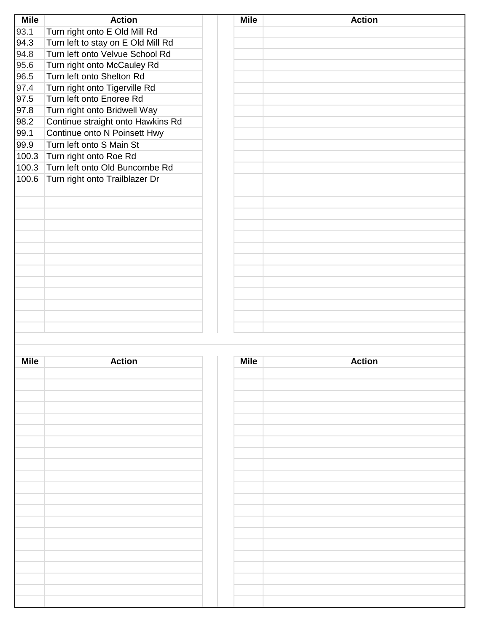| <b>Mile</b> | <b>Action</b>                      | <b>Mile</b> | <b>Action</b> |
|-------------|------------------------------------|-------------|---------------|
| 93.1        | Turn right onto E Old Mill Rd      |             |               |
| 94.3        | Turn left to stay on E Old Mill Rd |             |               |
| 94.8        | Turn left onto Velvue School Rd    |             |               |
| 95.6        | Turn right onto McCauley Rd        |             |               |
| 96.5        | Turn left onto Shelton Rd          |             |               |
| 97.4        | Turn right onto Tigerville Rd      |             |               |
| 97.5        | Turn left onto Enoree Rd           |             |               |
| 97.8        | Turn right onto Bridwell Way       |             |               |
| 98.2        | Continue straight onto Hawkins Rd  |             |               |
| 99.1        | Continue onto N Poinsett Hwy       |             |               |
| 99.9        | Turn left onto S Main St           |             |               |
| 100.3       | Turn right onto Roe Rd             |             |               |
| 100.3       | Turn left onto Old Buncombe Rd     |             |               |
| 100.6       | Turn right onto Trailblazer Dr     |             |               |
|             |                                    |             |               |
|             |                                    |             |               |
|             |                                    |             |               |
|             |                                    |             |               |
|             |                                    |             |               |
|             |                                    |             |               |
|             |                                    |             |               |
|             |                                    |             |               |
|             |                                    |             |               |
|             |                                    |             |               |
|             |                                    |             |               |
|             |                                    |             |               |
|             |                                    |             |               |
|             |                                    |             |               |
|             |                                    |             |               |
| <b>Mile</b> | <b>Action</b>                      | <b>Mile</b> | <b>Action</b> |
|             |                                    |             |               |
|             |                                    |             |               |
|             |                                    |             |               |